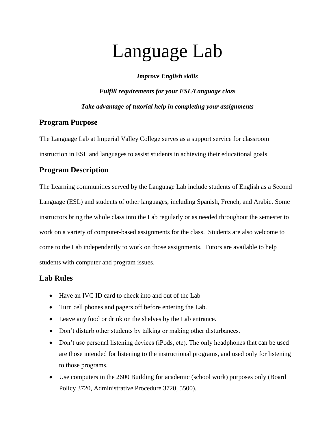# Language Lab

*Improve English skills*

*Fulfill requirements for your ESL/Language class Take advantage of tutorial help in completing your assignments*

#### **Program Purpose**

The Language Lab at Imperial Valley College serves as a support service for classroom instruction in ESL and languages to assist students in achieving their educational goals.

### **Program Description**

The Learning communities served by the Language Lab include students of English as a Second Language (ESL) and students of other languages, including Spanish, French, and Arabic. Some instructors bring the whole class into the Lab regularly or as needed throughout the semester to work on a variety of computer-based assignments for the class. Students are also welcome to come to the Lab independently to work on those assignments. Tutors are available to help students with computer and program issues.

#### **Lab Rules**

- Have an IVC ID card to check into and out of the Lab
- Turn cell phones and pagers off before entering the Lab.
- Leave any food or drink on the shelves by the Lab entrance.
- Don't disturb other students by talking or making other disturbances.
- Don't use personal listening devices (iPods, etc). The only headphones that can be used are those intended for listening to the instructional programs, and used only for listening to those programs.
- Use computers in the 2600 Building for academic (school work) purposes only (Board Policy 3720, Administrative Procedure 3720, 5500).